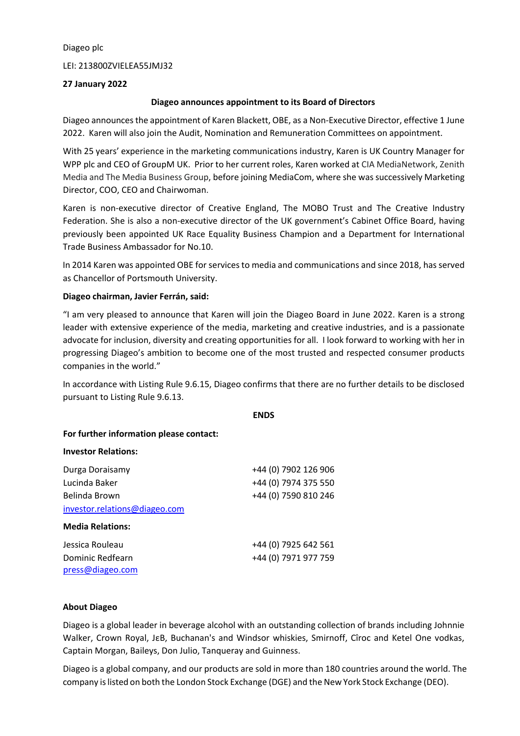Diageo plc

LEI: 213800ZVIELEA55JMJ32

## **27 January 2022**

## **Diageo announces appointment to its Board of Directors**

Diageo announcesthe appointment of Karen Blackett, OBE, as a Non-Executive Director, effective 1 June 2022. Karen will also join the Audit, Nomination and Remuneration Committees on appointment.

With 25 years' experience in the marketing communications industry, Karen is UK Country Manager for WPP plc and CEO of GroupM UK. Prior to her current roles, Karen worked at CIA MediaNetwork, Zenith Media and The Media Business Group, before joining MediaCom, where she wassuccessively Marketing Director, COO, CEO and Chairwoman.

Karen is non-executive director of Creative England, The MOBO Trust and The Creative Industry Federation. She is also a non-executive director of the UK government's Cabinet Office Board, having previously been appointed UK Race Equality Business Champion and a Department for International Trade Business Ambassador for No.10.

In 2014 Karen was appointed OBE for servicesto media and communications and since 2018, hasserved as Chancellor of Portsmouth University.

# **Diageo chairman, Javier Ferrán, said:**

"I am very pleased to announce that Karen will join the Diageo Board in June 2022. Karen is a strong leader with extensive experience of the media, marketing and creative industries, and is a passionate advocate for inclusion, diversity and creating opportunities for all. I look forward to working with her in progressing Diageo's ambition to become one of the most trusted and respected consumer products companies in the world."

In accordance with Listing Rule 9.6.15, Diageo confirms that there are no further details to be disclosed pursuant to Listing Rule 9.6.13.

#### **ENDS**

## **For further information please contact:**

#### **Investor Relations:**

| Durga Doraisamy               | +44 (0) 7902 126 906 |
|-------------------------------|----------------------|
| Lucinda Baker                 | +44 (0) 7974 375 550 |
| Belinda Brown                 | +44 (0) 7590 810 246 |
| investor.relations@diageo.com |                      |
| <b>Media Relations:</b>       |                      |
| Jessica Rouleau               | +44 (0) 7925 642 561 |
| Dominic Redfearn              | +44 (0) 7971 977 759 |
| press@diageo.com              |                      |

#### **About Diageo**

Diageo is a global leader in beverage alcohol with an outstanding collection of brands including Johnnie Walker, Crown Royal, JεB, Buchanan's and Windsor whiskies, Smirnoff, Cîroc and Ketel One vodkas, Captain Morgan, Baileys, Don Julio, Tanqueray and Guinness.

Diageo is a global company, and our products are sold in more than 180 countries around the world. The company islisted on both the London Stock Exchange (DGE) and the New York Stock Exchange (DEO).